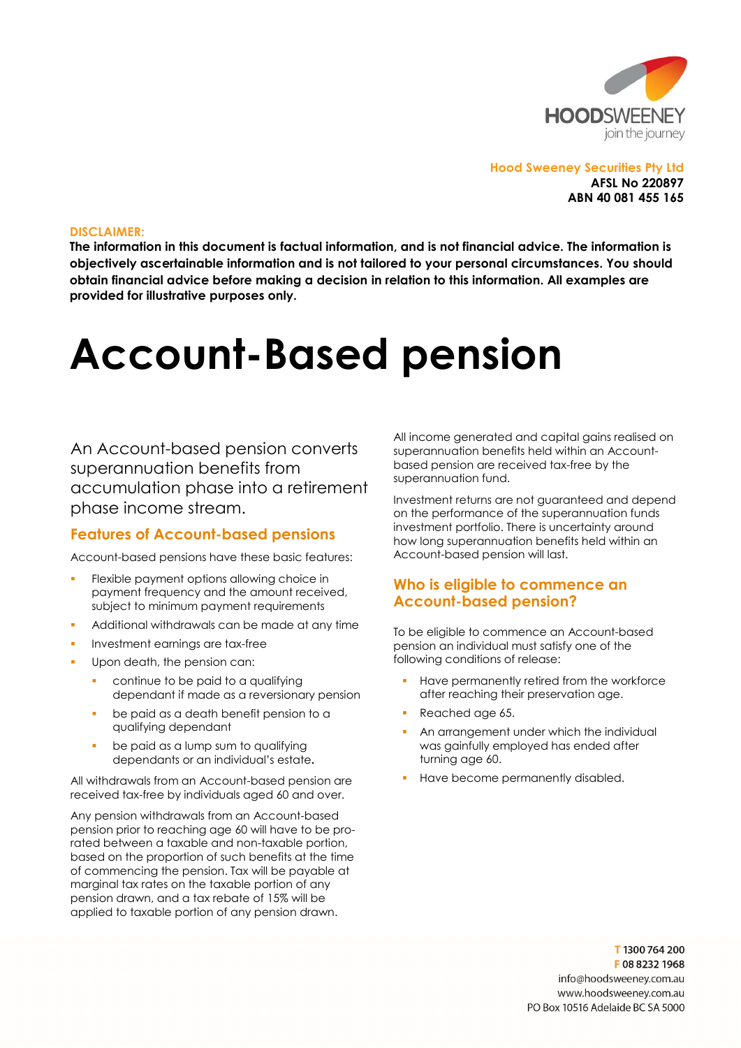

Hood Sweeney Securities Pty Ltd AFSL No 220897 ABN 40 081 455 165

#### DISCLAIMER:

The information in this document is factual information, and is not financial advice. The information is objectively ascertainable information and is not tailored to your personal circumstances. You should obtain financial advice before making a decision in relation to this information. All examples are provided for illustrative purposes only.

# Account-Based pension

An Account-based pension converts superannuation benefits from accumulation phase into a retirement phase income stream.

#### Features of Account-based pensions

Account-based pensions have these basic features:

- Flexible payment options allowing choice in payment frequency and the amount received, subject to minimum payment requirements
- Additional withdrawals can be made at any time
- Investment earnings are tax-free
- Upon death, the pension can:
	- continue to be paid to a qualifying dependant if made as a reversionary pension
	- be paid as a death benefit pension to a qualifying dependant
	- be paid as a lump sum to qualifying dependants or an individual's estate.

All withdrawals from an Account-based pension are received tax-free by individuals aged 60 and over.

Any pension withdrawals from an Account-based pension prior to reaching age 60 will have to be prorated between a taxable and non-taxable portion, based on the proportion of such benefits at the time of commencing the pension. Tax will be payable at marginal tax rates on the taxable portion of any pension drawn, and a tax rebate of 15% will be applied to taxable portion of any pension drawn.

All income generated and capital gains realised on superannuation benefits held within an Accountbased pension are received tax-free by the superannuation fund.

Investment returns are not guaranteed and depend on the performance of the superannuation funds investment portfolio. There is uncertainty around how long superannuation benefits held within an Account-based pension will last.

### Who is eligible to commence an Account-based pension?

To be eligible to commence an Account-based pension an individual must satisfy one of the following conditions of release:

- Have permanently retired from the workforce after reaching their preservation age.
- Reached age 65.
- An arrangement under which the individual was gainfully employed has ended after turning age 60.
- Have become permanently disabled.

T1300764200 F0882321968 info@hoodsweenev.com.au www.hoodsweeney.com.au PO Box 10516 Adelaide BC SA 5000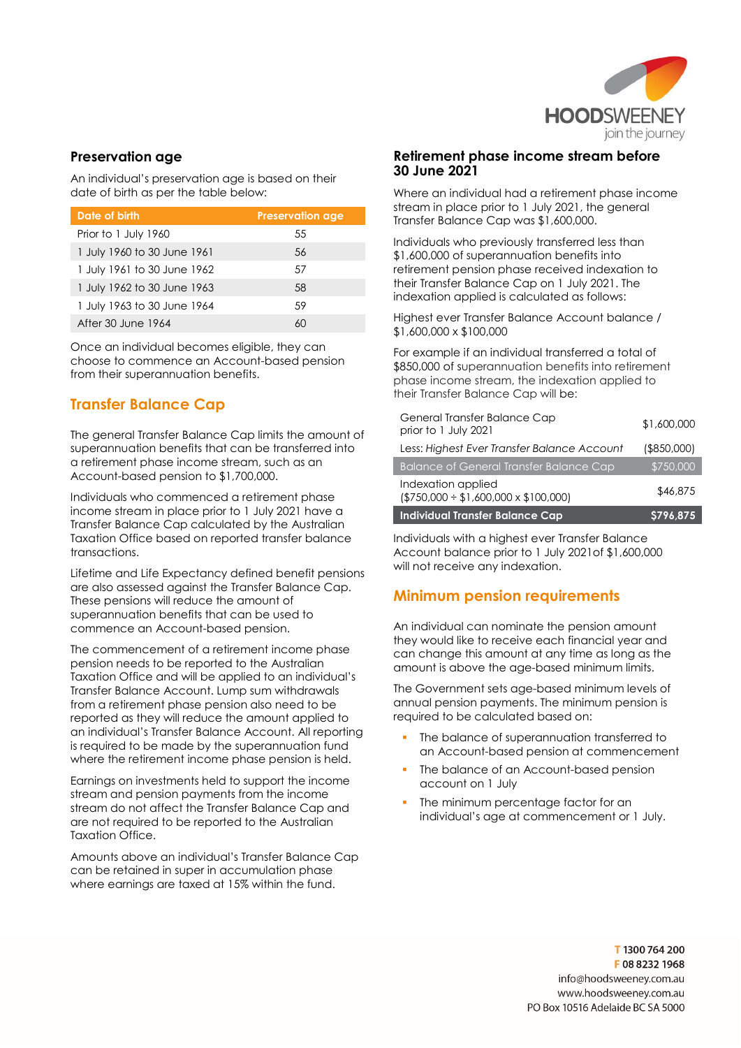

## Preservation age

An individual's preservation age is based on their date of birth as per the table below:

| Date of birth               | <b>Preservation age</b> |
|-----------------------------|-------------------------|
| Prior to 1 July 1960        | 55                      |
| 1 July 1960 to 30 June 1961 | 56                      |
| 1 July 1961 to 30 June 1962 | .57                     |
| 1 July 1962 to 30 June 1963 | 58                      |
| 1 July 1963 to 30 June 1964 | .59                     |
| After 30 June 1964          |                         |

Once an individual becomes eligible, they can choose to commence an Account-based pension from their superannuation benefits.

# Transfer Balance Cap

The general Transfer Balance Cap limits the amount of superannuation benefits that can be transferred into a retirement phase income stream, such as an Account-based pension to \$1,700,000.

Individuals who commenced a retirement phase income stream in place prior to 1 July 2021 have a Transfer Balance Cap calculated by the Australian Taxation Office based on reported transfer balance transactions.

Lifetime and Life Expectancy defined benefit pensions are also assessed against the Transfer Balance Cap. These pensions will reduce the amount of superannuation benefits that can be used to commence an Account-based pension.

The commencement of a retirement income phase pension needs to be reported to the Australian Taxation Office and will be applied to an individual's Transfer Balance Account. Lump sum withdrawals from a retirement phase pension also need to be reported as they will reduce the amount applied to an individual's Transfer Balance Account. All reporting is required to be made by the superannuation fund where the retirement income phase pension is held.

Earnings on investments held to support the income stream and pension payments from the income stream do not affect the Transfer Balance Cap and are not required to be reported to the Australian Taxation Office.

Amounts above an individual's Transfer Balance Cap can be retained in super in accumulation phase where earnings are taxed at 15% within the fund.

#### Retirement phase income stream before 30 June 2021

Where an individual had a retirement phase income stream in place prior to 1 July 2021, the general Transfer Balance Cap was \$1,600,000.

Individuals who previously transferred less than \$1,600,000 of superannuation benefits into retirement pension phase received indexation to their Transfer Balance Cap on 1 July 2021. The indexation applied is calculated as follows:

Highest ever Transfer Balance Account balance / \$1,600,000 x \$100,000

For example if an individual transferred a total of \$850,000 of superannuation benefits into retirement phase income stream, the indexation applied to their Transfer Balance Cap will be:

| General Transfer Balance Cap<br>prior to 1 July 2021               | \$1,600,000    |
|--------------------------------------------------------------------|----------------|
| Less: Highest Ever Transfer Balance Account                        | $($ \$850,000) |
| <b>Balance of General Transfer Balance Cap</b>                     | \$750,000      |
| Indexation applied<br>$($750,000 \div $1,600,000 \times $100,000)$ | \$46,875       |
| <b>Individual Transfer Balance Cap</b>                             | \$796,875      |

Individuals with a highest ever Transfer Balance Account balance prior to 1 July 2021of \$1,600,000 will not receive any indexation.

# Minimum pension requirements

An individual can nominate the pension amount they would like to receive each financial year and can change this amount at any time as long as the amount is above the age-based minimum limits.

The Government sets age-based minimum levels of annual pension payments. The minimum pension is required to be calculated based on:

- The balance of superannuation transferred to an Account-based pension at commencement
- The balance of an Account-based pension account on 1 July
- The minimum percentage factor for an individual's age at commencement or 1 July.